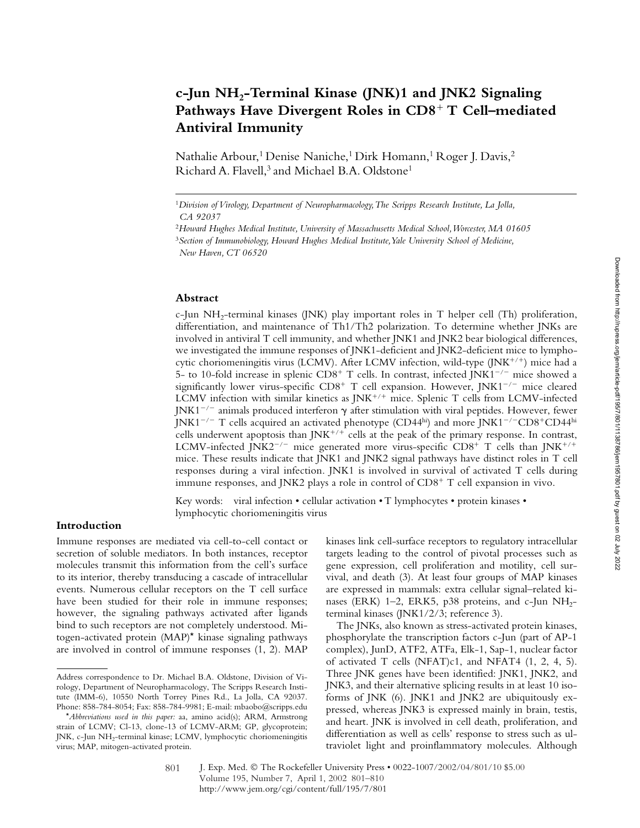# **c-Jun NH2-Terminal Kinase (JNK)1 and JNK2 Signaling**  Pathways Have Divergent Roles in CD8<sup>+</sup> T Cell–mediated **Antiviral Immunity**

Nathalie Arbour,<sup>1</sup> Denise Naniche,<sup>1</sup> Dirk Homann,<sup>1</sup> Roger J. Davis,<sup>2</sup> Richard A. Flavell,<sup>3</sup> and Michael B.A. Oldstone<sup>1</sup>

#### **Abstract**

c-Jun  $NH<sub>2</sub>$ -terminal kinases (JNK) play important roles in T helper cell (Th) proliferation, differentiation, and maintenance of Th1/Th2 polarization. To determine whether JNKs are involved in antiviral T cell immunity, and whether JNK1 and JNK2 bear biological differences, we investigated the immune responses of JNK1-deficient and JNK2-deficient mice to lymphocytic choriomeningitis virus (LCMV). After LCMV infection, wild-type (JNK<sup>+/+</sup>) mice had a 5- to 10-fold increase in splenic  $CD8^+$  T cells. In contrast, infected JNK1<sup>-/-</sup> mice showed a significantly lower virus-specific  $CD8^+$  T cell expansion. However, JNK1<sup>-/-</sup> mice cleared LCMV infection with similar kinetics as JNK<sup>+/+</sup> mice. Splenic T cells from LCMV-infected  $JNK1^{-/-}$  animals produced interferon  $\gamma$  after stimulation with viral peptides. However, fewer JNK1 $^{-/-}$  T cells acquired an activated phenotype (CD44hi) and more JNK1 $^{-/-}$ CD8 $^+$ CD44hi cells underwent apoptosis than JNK<sup>+/+</sup> cells at the peak of the primary response. In contrast, LCMV-infected JNK2<sup>-/-</sup> mice generated more virus-specific CD8<sup>+</sup> T cells than JNK<sup>+/+</sup> mice. These results indicate that JNK1 and JNK2 signal pathways have distinct roles in T cell responses during a viral infection. JNK1 is involved in survival of activated T cells during immune responses, and JNK2 plays a role in control of CD8<sup>+</sup> T cell expansion in vivo.

Key words: viral infection • cellular activation • T lymphocytes • protein kinases • lymphocytic choriomeningitis virus

# **Introduction**

Immune responses are mediated via cell-to-cell contact or secretion of soluble mediators. In both instances, receptor molecules transmit this information from the cell's surface to its interior, thereby transducing a cascade of intracellular events. Numerous cellular receptors on the T cell surface have been studied for their role in immune responses; however, the signaling pathways activated after ligands bind to such receptors are not completely understood. Mitogen-activated protein (MAP)\* kinase signaling pathways are involved in control of immune responses (1, 2). MAP

kinases link cell-surface receptors to regulatory intracellular targets leading to the control of pivotal processes such as gene expression, cell proliferation and motility, cell survival, and death (3). At least four groups of MAP kinases are expressed in mammals: extra cellular signal–related kinases (ERK) 1–2, ERK5, p38 proteins, and c-Jun  $NH<sub>2</sub>$ terminal kinases (JNK1/2/3; reference 3).

The JNKs, also known as stress-activated protein kinases, phosphorylate the transcription factors c-Jun (part of AP-1 complex), JunD, ATF2, ATFa, Elk-1, Sap-1, nuclear factor of activated T cells (NFAT)c1, and NFAT4 (1, 2, 4, 5). Three JNK genes have been identified: JNK1, JNK2, and JNK3, and their alternative splicing results in at least 10 isoforms of JNK (6). JNK1 and JNK2 are ubiquitously expressed, whereas JNK3 is expressed mainly in brain, testis, and heart. JNK is involved in cell death, proliferation, and differentiation as well as cells' response to stress such as ultraviolet light and proinflammatory molecules. Although

<sup>1</sup>*Division of Virology, Department of Neuropharmacology, The Scripps Research Institute, La Jolla, CA 92037*

<sup>2</sup>*Howard Hughes Medical Institute, University of Massachusetts Medical School, Worcester, MA 01605* <sup>3</sup>*Section of Immunobiology, Howard Hughes Medical Institute, Yale University School of Medicine, New Haven, CT 06520*

Address correspondence to Dr. Michael B.A. Oldstone, Division of Virology, Department of Neuropharmacology, The Scripps Research Institute (IMM-6), 10550 North Torrey Pines Rd., La Jolla, CA 92037. Phone: 858-784-8054; Fax: 858-784-9981; E-mail: mbaobo@scripps.edu

<sup>\*</sup>*Abbreviations used in this paper:* aa, amino acid(s); ARM, Armstrong strain of LCMV; Cl-13, clone-13 of LCMV-ARM; GP, glycoprotein; JNK, c-Jun NH<sub>2</sub>-terminal kinase; LCMV, lymphocytic choriomeningitis virus; MAP, mitogen-activated protein.

J. Exp. Med. © The Rockefeller University Press • 0022-1007/2002/04/801/10 \$5.00 Volume 195, Number 7, April 1, 2002 801–810 http://www.jem.org/cgi/content/full/195/7/801 801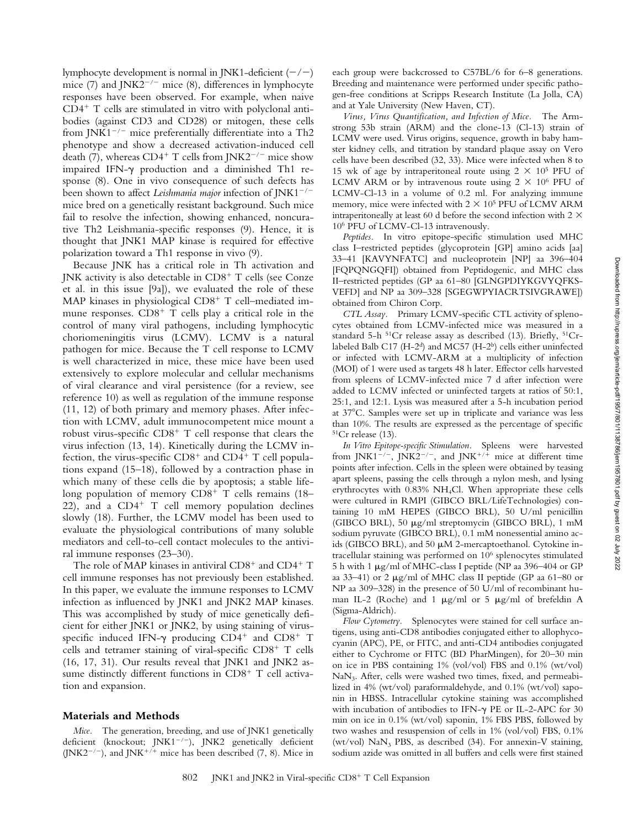lymphocyte development is normal in JNK1-deficient  $(-/-)$ mice (7) and  $JNK2^{-/-}$  mice (8), differences in lymphocyte responses have been observed. For example, when naive CD4- T cells are stimulated in vitro with polyclonal antibodies (against CD3 and CD28) or mitogen, these cells from JNK1<sup> $-/-$ </sup> mice preferentially differentiate into a Th2 phenotype and show a decreased activation-induced cell death (7), whereas  $CD4^+$  T cells from JNK2<sup>-/-</sup> mice show impaired IFN- $\gamma$  production and a diminished Th1 response (8). One in vivo consequence of such defects has been shown to affect *Leishmania major* infection of JNK1<sup>-/-</sup> mice bred on a genetically resistant background. Such mice fail to resolve the infection, showing enhanced, noncurative Th2 Leishmania-specific responses (9). Hence, it is thought that JNK1 MAP kinase is required for effective polarization toward a Th1 response in vivo (9).

Because JNK has a critical role in Th activation and JNK activity is also detectable in  $CD8^+$  T cells (see Conze et al. in this issue [9a]), we evaluated the role of these MAP kinases in physiological CD8<sup>+</sup> T cell-mediated immune responses.  $CD8<sup>+</sup>$  T cells play a critical role in the control of many viral pathogens, including lymphocytic choriomeningitis virus (LCMV). LCMV is a natural pathogen for mice. Because the T cell response to LCMV is well characterized in mice, these mice have been used extensively to explore molecular and cellular mechanisms of viral clearance and viral persistence (for a review, see reference 10) as well as regulation of the immune response (11, 12) of both primary and memory phases. After infection with LCMV, adult immunocompetent mice mount a robust virus-specific CD8<sup>+</sup> T cell response that clears the virus infection (13, 14). Kinetically during the LCMV infection, the virus-specific  $CD8^+$  and  $CD4^+$  T cell populations expand (15–18), followed by a contraction phase in which many of these cells die by apoptosis; a stable lifelong population of memory CD8<sup>+</sup> T cells remains (18– 22), and a CD4<sup>+</sup> T cell memory population declines slowly (18). Further, the LCMV model has been used to evaluate the physiological contributions of many soluble mediators and cell-to-cell contact molecules to the antiviral immune responses (23–30).

The role of MAP kinases in antiviral CD8<sup>+</sup> and CD4<sup>+</sup> T cell immune responses has not previously been established. In this paper, we evaluate the immune responses to LCMV infection as influenced by JNK1 and JNK2 MAP kinases. This was accomplished by study of mice genetically deficient for either JNK1 or JNK2, by using staining of virusspecific induced IFN- $\gamma$  producing CD4<sup>+</sup> and CD8<sup>+</sup> T cells and tetramer staining of viral-specific CD8<sup>+</sup> T cells (16, 17, 31). Our results reveal that JNK1 and JNK2 assume distinctly different functions in CD8<sup>+</sup> T cell activation and expansion.

## **Materials and Methods**

*Mice.* The generation, breeding, and use of JNK1 genetically deficient (knockout; JNK1<sup>-/-</sup>), JNK2 genetically deficient (JNK2<sup>-/-</sup>), and JNK<sup>+/+</sup> mice has been described (7, 8). Mice in

each group were backcrossed to C57BL/6 for 6–8 generations. Breeding and maintenance were performed under specific pathogen-free conditions at Scripps Research Institute (La Jolla, CA) and at Yale University (New Haven, CT).

*Virus, Virus Quantification, and Infection of Mice.* The Armstrong 53b strain (ARM) and the clone-13 (Cl-13) strain of LCMV were used. Virus origins, sequence, growth in baby hamster kidney cells, and titration by standard plaque assay on Vero cells have been described (32, 33). Mice were infected when 8 to 15 wk of age by intraperitoneal route using  $2 \times 10^5$  PFU of LCMV ARM or by intravenous route using  $2 \times 10^6$  PFU of LCMV-Cl-13 in a volume of 0.2 ml. For analyzing immune memory, mice were infected with  $2 \times 10^5$  PFU of LCMV ARM intraperitoneally at least 60 d before the second infection with  $2 \times$ 106 PFU of LCMV-Cl-13 intravenously.

*Peptides.* In vitro epitope-specific stimulation used MHC class I–restricted peptides (glycoprotein [GP] amino acids [aa] 33–41 [KAVYNFATC] and nucleoprotein [NP] aa 396–404 [FQPQNGQFI]) obtained from Peptidogenic, and MHC class II–restricted peptides (GP aa 61–80 [GLNGPDIYKGVYQFKS-VEFD] and NP aa 309–328 [SGEGWPYIACRTSIVGRAWE]) obtained from Chiron Corp.

*CTL Assay.* Primary LCMV-specific CTL activity of splenocytes obtained from LCMV-infected mice was measured in a standard 5-h  ${}^{51}Cr$  release assay as described (13). Briefly,  ${}^{51}Cr$ labeled Balb C17 (H-2<sup>d</sup>) and MC57 (H-2<sup>b</sup>) cells either uninfected or infected with LCMV-ARM at a multiplicity of infection (MOI) of 1 were used as targets 48 h later. Effector cells harvested from spleens of LCMV-infected mice 7 d after infection were added to LCMV infected or uninfected targets at ratios of 50:1, 25:1, and 12:1. Lysis was measured after a 5-h incubation period at 37C. Samples were set up in triplicate and variance was less than 10%. The results are expressed as the percentage of specific 51Cr release (13).

*In Vitro Epitope-specific Stimulation.* Spleens were harvested from JNK1<sup>-/-</sup>, JNK2<sup>-/-</sup>, and JNK<sup>+/+</sup> mice at different time points after infection. Cells in the spleen were obtained by teasing apart spleens, passing the cells through a nylon mesh, and lysing erythrocytes with 0.83% NH4Cl. When appropriate these cells were cultured in RMPI (GIBCO BRL/LifeTechnologies) containing 10 mM HEPES (GIBCO BRL), 50 U/ml penicillin (GIBCO BRL), 50 µg/ml streptomycin (GIBCO BRL), 1 mM sodium pyruvate (GIBCO BRL), 0.1 mM nonessential amino acids (GIBCO BRL), and 50  $\mu$ M 2-mercaptoethanol. Cytokine intracellular staining was performed on 106 splenocytes stimulated 5 h with 1  $\mu$ g/ml of MHC-class I peptide (NP aa 396–404 or GP aa 33-41) or 2  $\mu$ g/ml of MHC class II peptide (GP aa 61-80 or NP aa 309–328) in the presence of 50 U/ml of recombinant human IL-2 (Roche) and 1  $\mu$ g/ml or 5  $\mu$ g/ml of brefeldin A (Sigma-Aldrich).

*Flow Cytometry.* Splenocytes were stained for cell surface antigens, using anti-CD8 antibodies conjugated either to allophycocyanin (APC), PE, or FITC, and anti-CD4 antibodies conjugated either to Cychrome or FITC (BD PharMingen), for 20–30 min on ice in PBS containing 1% (vol/vol) FBS and 0.1% (wt/vol)  $NaN<sub>3</sub>$ . After, cells were washed two times, fixed, and permeabilized in 4% (wt/vol) paraformaldehyde, and 0.1% (wt/vol) saponin in HBSS. Intracellular cytokine staining was accomplished with incubation of antibodies to IFN- $\gamma$  PE or IL-2-APC for 30 min on ice in 0.1% (wt/vol) saponin, 1% FBS PBS, followed by two washes and resuspension of cells in 1% (vol/vol) FBS, 0.1% (wt/vol)  $\text{NaN}_3$  PBS, as described (34). For annexin-V staining, sodium azide was omitted in all buffers and cells were first stained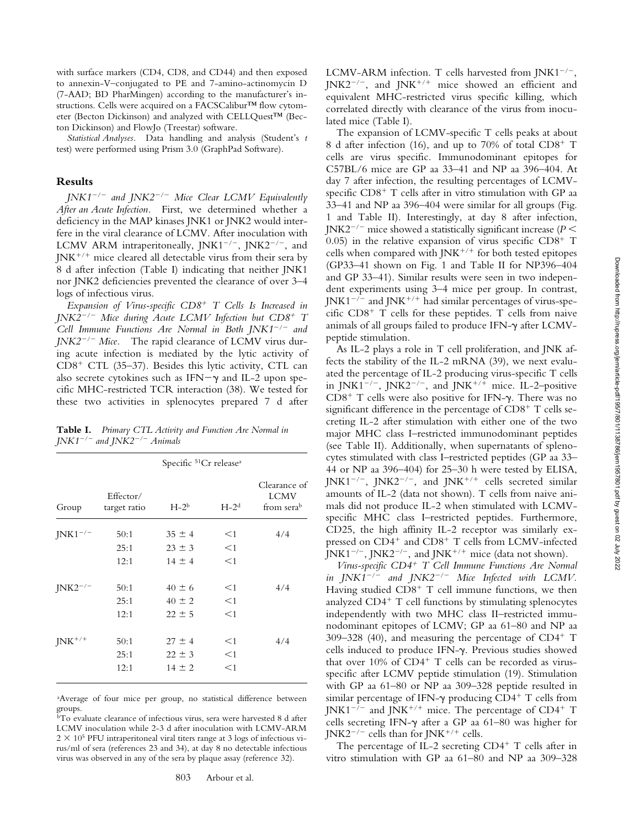with surface markers (CD4, CD8, and CD44) and then exposed to annexin-V–conjugated to PE and 7-amino-actinomycin D (7-AAD; BD PharMingen) according to the manufacturer's instructions. Cells were acquired on a FACSCalibur™ flow cytometer (Becton Dickinson) and analyzed with CELLQuest™ (Becton Dickinson) and FlowJo (Treestar) software.

*Statistical Analyses.* Data handling and analysis (Student's *t* test) were performed using Prism 3.0 (GraphPad Software).

#### **Results**

*JNK1/ and JNK2/ Mice Clear LCMV Equivalently After an Acute Infection.* First, we determined whether a deficiency in the MAP kinases JNK1 or JNK2 would interfere in the viral clearance of LCMV. After inoculation with LCMV ARM intraperitoneally,  $JNK1^{-/-}$ ,  $JNK2^{-/-}$ , and JNK<sup>+/+</sup> mice cleared all detectable virus from their sera by 8 d after infection (Table I) indicating that neither JNK1 nor JNK2 deficiencies prevented the clearance of over 3–4 logs of infectious virus.

*Expansion of Virus-specific CD8*- *T Cells Is Increased in JNK2/ Mice during Acute LCMV Infection but CD8*- *T Cell Immune Functions Are Normal in Both JNK1/ and JNK2<sup>-/-</sup> Mice.* The rapid clearance of LCMV virus during acute infection is mediated by the lytic activity of CD8<sup>+</sup> CTL (35-37). Besides this lytic activity, CTL can also secrete cytokines such as IFN $-\gamma$  and IL-2 upon specific MHC-restricted TCR interaction (38). We tested for these two activities in splenocytes prepared 7 d after

**Table I.** *Primary CTL Activity and Function Are Normal in JNK1/ and JNK2/ Animals*

|              | Specific <sup>51</sup> Cr release <sup>a</sup> |            |          |                                           |  |  |  |
|--------------|------------------------------------------------|------------|----------|-------------------------------------------|--|--|--|
| Group        | Effector/<br>target ratio                      | $H-2b$     | $H-2d$   | Clearance of<br><b>LCMV</b><br>from serab |  |  |  |
| $INK1^{-/-}$ | 50:1                                           | $35 \pm 4$ | $\leq$ 1 | 4/4                                       |  |  |  |
|              | 25:1                                           | $23 \pm 3$ | $<$ 1    |                                           |  |  |  |
|              | 12:1                                           | $14 \pm 4$ | $<$ 1    |                                           |  |  |  |
| $JNK2^{-/-}$ | 50:1                                           | $40 \pm 6$ | $\leq$ 1 | 4/4                                       |  |  |  |
|              | 25:1                                           | $40 \pm 2$ | $<$ 1    |                                           |  |  |  |
|              | 12:1                                           | $22 \pm 5$ | $<$ 1    |                                           |  |  |  |
| $JNK^{+/+}$  | 50:1                                           | $27 \pm 4$ | $<$ 1    | 4/4                                       |  |  |  |
|              | 25:1                                           | $22 \pm 3$ | $<$ 1    |                                           |  |  |  |
|              | 12:1                                           | $14 \pm 2$ | $<$ 1    |                                           |  |  |  |

a Average of four mice per group, no statistical difference between groups.

LCMV-ARM infection. T cells harvested from JNK1<sup>-/-</sup>, JNK2<sup>-/-</sup>, and JNK<sup>+/+</sup> mice showed an efficient and equivalent MHC-restricted virus specific killing, which correlated directly with clearance of the virus from inoculated mice (Table I).

The expansion of LCMV-specific T cells peaks at about 8 d after infection (16), and up to 70% of total CD8<sup>+</sup> T cells are virus specific. Immunodominant epitopes for C57BL/6 mice are GP aa 33–41 and NP aa 396–404. At day 7 after infection, the resulting percentages of LCMVspecific CD8<sup>+</sup> T cells after in vitro stimulation with GP aa 33–41 and NP aa 396–404 were similar for all groups (Fig. 1 and Table II). Interestingly, at day 8 after infection, JNK2<sup>-/-</sup> mice showed a statistically significant increase ( $P$  < 0.05) in the relative expansion of virus specific  $CD8^+$  T cells when compared with JNK<sup>+/+</sup> for both tested epitopes (GP33–41 shown on Fig. 1 and Table II for NP396–404 and GP 33–41). Similar results were seen in two independent experiments using 3–4 mice per group. In contrast, JNK1 $^{-/-}$  and JNK $^{+/+}$  had similar percentages of virus-spe- $\text{cific } \text{CD8}^+ \text{ T } \text{ cells for these peptides. T cells from naive}$ animals of all groups failed to produce IFN- $\gamma$  after LCMVpeptide stimulation.

As IL-2 plays a role in T cell proliferation, and JNK affects the stability of the IL-2 mRNA (39), we next evaluated the percentage of IL-2 producing virus-specific T cells in JNK1<sup>-/-</sup>, JNK2<sup>-/-</sup>, and JNK<sup>+/+</sup> mice. IL-2-positive CD8<sup>+</sup> T cells were also positive for IFN- $\gamma$ . There was no significant difference in the percentage of  $CD8^+$  T cells secreting IL-2 after stimulation with either one of the two major MHC class I–restricted immunodominant peptides (see Table II). Additionally, when supernatants of splenocytes stimulated with class I–restricted peptides (GP aa 33– 44 or NP aa 396–404) for 25–30 h were tested by ELISA, JNK1<sup>-/-</sup>, JNK2<sup>-/-</sup>, and JNK<sup>+/+</sup> cells secreted similar amounts of IL-2 (data not shown). T cells from naive animals did not produce IL-2 when stimulated with LCMVspecific MHC class I–restricted peptides. Furthermore, CD25, the high affinity IL-2 receptor was similarly expressed on CD4<sup>+</sup> and CD8<sup>+</sup> T cells from LCMV-infected JNK1<sup>-/-</sup>, JNK2<sup>-/-</sup>, and JNK<sup>+/+</sup> mice (data not shown).

*Virus-specific CD4*- *T Cell Immune Functions Are Normal in*  $JNKI^{-/-}$  and  $JNK2^{-/-}$  Mice Infected with LCMV. Having studied CD8<sup>+</sup> T cell immune functions, we then analyzed CD4<sup>+</sup> T cell functions by stimulating splenocytes independently with two MHC class II–restricted immunodominant epitopes of LCMV; GP aa 61–80 and NP aa 309–328 (40), and measuring the percentage of  $CD4^+$  T cells induced to produce IFN- $\gamma$ . Previous studies showed that over 10% of CD4<sup>+</sup> T cells can be recorded as virusspecific after LCMV peptide stimulation (19). Stimulation with GP aa 61–80 or NP aa 309–328 peptide resulted in similar percentage of IFN- $\gamma$  producing CD4<sup>+</sup> T cells from JNK1<sup>-/-</sup> and JNK<sup>+/+</sup> mice. The percentage of CD4<sup>+</sup> T cells secreting IFN- $\gamma$  after a GP aa 61–80 was higher for JNK2<sup>-/-</sup> cells than for JNK<sup>+/+</sup> cells.

The percentage of IL-2 secreting  $CD4^+$  T cells after in vitro stimulation with GP aa 61–80 and NP aa 309–328

bTo evaluate clearance of infectious virus, sera were harvested 8 d after LCMV inoculation while 2-3 d after inoculation with LCMV-ARM  $2 \times 10^5$  PFU intraperitoneal viral titers range at 3 logs of infectious virus/ml of sera (references 23 and 34), at day 8 no detectable infectious virus was observed in any of the sera by plaque assay (reference 32).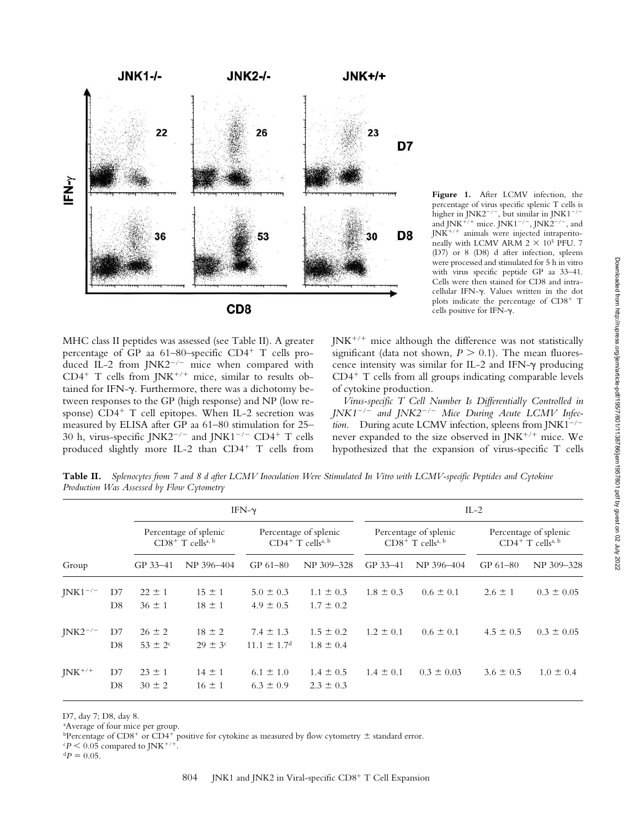

MHC class II peptides was assessed (see Table II). A greater percentage of GP aa 61–80–specific CD4<sup>+</sup> T cells produced IL-2 from JNK2<sup>-/-</sup> mice when compared with  $CD4^+$  T cells from JNK<sup>+/+</sup> mice, similar to results obtained for IFN- $\gamma$ . Furthermore, there was a dichotomy between responses to the GP (high response) and NP (low response) CD4<sup>+</sup> T cell epitopes. When IL-2 secretion was measured by ELISA after GP aa 61–80 stimulation for 25– 30 h, virus-specific JNK2<sup>-/-</sup> and JNK1<sup>-/-</sup> CD4<sup>+</sup> T cells produced slightly more IL-2 than CD4<sup>+</sup> T cells from

**Figure 1.** After LCMV infection, the percentage of virus specific splenic T cells is higher in JNK2<sup>-/-</sup>, but similar in JNK1<sup>-/-</sup> and JNK<sup>+/+</sup> mice. JNK1<sup>-/-</sup>, JNK2<sup>-/-</sup>, and JNK-/- animals were injected intraperitoneally with LCMV ARM  $2 \times 10^5$  PFU. 7 (D7) or 8 (D8) d after infection, spleens were processed and stimulated for 5 h in vitro with virus specific peptide GP aa 33–41. Cells were then stained for CD8 and intracellular IFN- $\gamma$ . Values written in the dot plots indicate the percentage of CD8<sup>+</sup> T cells positive for IFN- $\gamma$ .

JNK<sup>+/+</sup> mice although the difference was not statistically significant (data not shown,  $P > 0.1$ ). The mean fluorescence intensity was similar for IL-2 and IFN- $\gamma$  producing CD4- T cells from all groups indicating comparable levels of cytokine production.

*Virus-specific T Cell Number Is Differentially Controlled in JNK1/ and JNK2/ Mice During Acute LCMV Infection.* During acute LCMV infection, spleens from  $JNK1^{-/-}$ never expanded to the size observed in JNK<sup>+/+</sup> mice. We hypothesized that the expansion of virus-specific T cells

**Table II.** *Splenocytes from 7 and 8 d after LCMV Inoculation Were Stimulated In Vitro with LCMV-specific Peptides and Cytokine Production Was Assessed by Flow Cytometry*

|              |                      | IFN- $\gamma$                                           |                                  |                                                          |                                | $IL-2$                                                  |                |                                                          |                |
|--------------|----------------------|---------------------------------------------------------|----------------------------------|----------------------------------------------------------|--------------------------------|---------------------------------------------------------|----------------|----------------------------------------------------------|----------------|
|              |                      | Percentage of splenic<br>$CD8+$ T cells <sup>a, b</sup> |                                  | Percentage of splenic<br>$CD4^+$ T cells <sup>a, b</sup> |                                | Percentage of splenic<br>$CD8+$ T cells <sup>a, b</sup> |                | Percentage of splenic<br>$CD4^+$ T cells <sup>a, b</sup> |                |
| Group        |                      | GP 33-41                                                | NP 396-404                       | GP 61-80                                                 | NP 309-328                     | GP 33-41                                                | NP 396-404     | GP 61-80                                                 | NP 309-328     |
| $JNK1^{-/-}$ | D7<br>D <sub>8</sub> | $22 \pm 1$<br>$36 \pm 1$                                | $15 \pm 1$<br>$18 \pm 1$         | $5.0 \pm 0.3$<br>$4.9 \pm 0.5$                           | $1.1 \pm 0.3$<br>$1.7 \pm 0.2$ | $1.8 \pm 0.3$                                           | $0.6 \pm 0.1$  | $2.6 \pm 1$                                              | $0.3 \pm 0.05$ |
| $JNK2^{-/-}$ | D7<br>D <sub>8</sub> | $26 \pm 2$<br>$53 \pm 2^{\circ}$                        | $18 \pm 2$<br>$29 \pm 3^{\circ}$ | $7.4 \pm 1.3$<br>$11.1 \pm 1.7$ <sup>d</sup>             | $1.5 \pm 0.2$<br>$1.8 \pm 0.4$ | $1.2 \pm 0.1$                                           | $0.6 \pm 0.1$  | $4.5 \pm 0.5$                                            | $0.3 \pm 0.05$ |
| $JNK^{+/+}$  | D7<br>D8             | $23 \pm 1$<br>$30 \pm 2$                                | $14 \pm 1$<br>$16 \pm 1$         | $6.1 \pm 1.0$<br>$6.3 \pm 0.9$                           | $1.4 \pm 0.5$<br>$2.3 \pm 0.3$ | $1.4 \pm 0.1$                                           | $0.3 \pm 0.03$ | $3.6 \pm 0.5$                                            | $1.0 \pm 0.4$  |

D7, day 7; D8, day 8.

a Average of four mice per group.

<sup>b</sup>Percentage of CD8<sup>+</sup> or CD4<sup>+</sup> positive for cytokine as measured by flow cytometry  $\pm$  standard error.

 $\epsilon P$  < 0.05 compared to JNK<sup>+/+</sup>.

 ${}^{d}P = 0.05$ .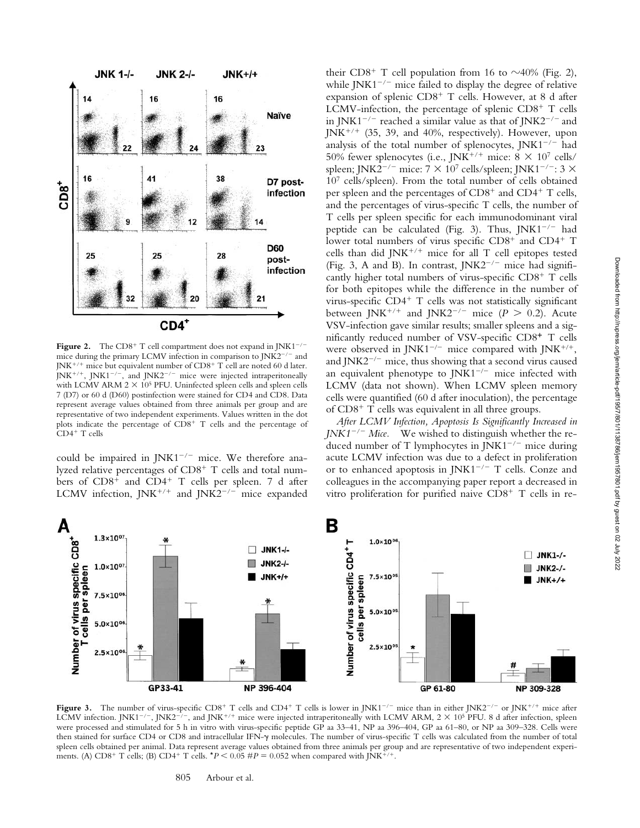

**Figure 2.** The  $CD8^+$  T cell compartment does not expand in JNK1<sup>-/-</sup> mice during the primary LCMV infection in comparison to  $JNK2^{-/-}$  and JNK<sup>+/+</sup> mice but equivalent number of CD8<sup>+</sup> T cell are noted 60 d later.  $J N K^{+/+}$ ,  $J N K 1^{-/-}$ , and  $J N K 2^{-/-}$  mice were injected intraperitoneally with LCMV ARM  $2 \times 10^5$  PFU. Uninfected spleen cells and spleen cells 7 (D7) or 60 d (D60) postinfection were stained for CD4 and CD8. Data represent average values obtained from three animals per group and are representative of two independent experiments. Values written in the dot plots indicate the percentage of CD8<sup>+</sup> T cells and the percentage of CD4<sup>+</sup> T cells

could be impaired in  $JNK1^{-/-}$  mice. We therefore analyzed relative percentages of CD8<sup>+</sup> T cells and total numbers of CD8<sup>+</sup> and CD4<sup>+</sup> T cells per spleen. 7 d after LCMV infection,  $JNK^{+/+}$  and  $JNK2^{-/-}$  mice expanded

their CD8<sup>+</sup> T cell population from 16 to  $\sim$ 40% (Fig. 2), while  $JNK1^{-/-}$  mice failed to display the degree of relative expansion of splenic CD8<sup>+</sup> T cells. However, at 8 d after LCMV-infection, the percentage of splenic CD8<sup>+</sup> T cells in JNK1<sup>-/-</sup> reached a similar value as that of JNK2<sup>-/-</sup> and JNK<sup>+/+</sup> (35, 39, and 40%, respectively). However, upon analysis of the total number of splenocytes,  $JNK1^{-/-}$  had 50% fewer splenocytes (i.e., JNK<sup>+/+</sup> mice:  $8 \times 10^7$  cells/ spleen; JNK2<sup>-/-</sup> mice: 7  $\times$  10<sup>7</sup> cells/spleen; JNK1<sup>-/-</sup>: 3  $\times$ 107 cells/spleen). From the total number of cells obtained per spleen and the percentages of CD8<sup>+</sup> and CD4<sup>+</sup> T cells, and the percentages of virus-specific T cells, the number of T cells per spleen specific for each immunodominant viral peptide can be calculated (Fig. 3). Thus,  $JNK1^{-/-}$  had lower total numbers of virus specific  $CD8^+$  and  $CD4^+$  T cells than did JNK-/- mice for all T cell epitopes tested (Fig. 3, A and B). In contrast,  $JNK2^{-/-}$  mice had significantly higher total numbers of virus-specific CD8<sup>+</sup> T cells for both epitopes while the difference in the number of virus-specific CD4<sup>+</sup> T cells was not statistically significant between JNK<sup>+/+</sup> and JNK2<sup>-/-</sup> mice ( $P > 0.2$ ). Acute VSV-infection gave similar results; smaller spleens and a significantly reduced number of VSV-specific CD8<sup>+</sup> T cells were observed in JNK1<sup>-/-</sup> mice compared with JNK<sup>+/+</sup>, and  $JNK2^{-/-}$  mice, thus showing that a second virus caused an equivalent phenotype to  $JNK1^{-/-}$  mice infected with LCMV (data not shown). When LCMV spleen memory cells were quantified (60 d after inoculation), the percentage of CD8<sup>+</sup> T cells was equivalent in all three groups.

*After LCMV Infection, Apoptosis Is Significantly Increased in JNK1<sup>-/-</sup> Mice.* We wished to distinguish whether the reduced number of T lymphocytes in  $JNK1^{-/-}$  mice during acute LCMV infection was due to a defect in proliferation or to enhanced apoptosis in JNK1<sup>-/-</sup> T cells. Conze and colleagues in the accompanying paper report a decreased in vitro proliferation for purified naive  $CD8<sup>+</sup>$  T cells in re-



**Figure 3.** The number of virus-specific  $CD8^+$  T cells and  $CD4^+$  T cells is lower in JNK1<sup>-/-</sup> mice than in either JNK2<sup>-/-</sup> or JNK<sup>+/+</sup> mice after LCMV infection. JNK1<sup>-/-</sup>, JNK2<sup>-/-</sup>, and JNK<sup>+/+</sup> mice were injected intraperitoneally with LCMV ARM, 2  $\times$  10<sup>5</sup> PFU. 8 d after infection, spleen were processed and stimulated for 5 h in vitro with virus-specific peptide GP aa 33–41, NP aa 396–404, GP aa 61–80, or NP aa 309–328. Cells were then stained for surface CD4 or CD8 and intracellular IFN- $\gamma$  molecules. The number of virus-specific T cells was calculated from the number of total spleen cells obtained per animal. Data represent average values obtained from three animals per group and are representative of two independent experiments. (A) CD8<sup>+</sup> T cells; (B) CD4<sup>+</sup> T cells.  $*P < 0.05$  # $P = 0.052$  when compared with JNK<sup>+/+</sup> .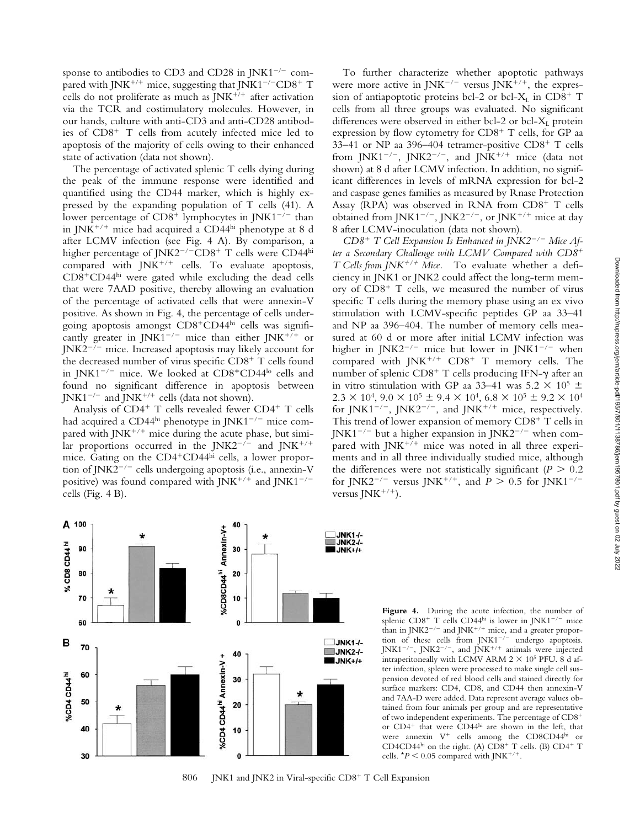sponse to antibodies to CD3 and CD28 in JNK1<sup> $-/-$ </sup> compared with JNK<sup>+/+</sup> mice, suggesting that JNK1<sup>-/-</sup>CD8<sup>+</sup> T cells do not proliferate as much as  $JNK^{+/+}$  after activation via the TCR and costimulatory molecules. However, in our hands, culture with anti-CD3 and anti-CD28 antibodies of CD8<sup>+</sup> T cells from acutely infected mice led to apoptosis of the majority of cells owing to their enhanced state of activation (data not shown).

The percentage of activated splenic T cells dying during the peak of the immune response were identified and quantified using the CD44 marker, which is highly expressed by the expanding population of T cells (41). A lower percentage of  $CD8^+$  lymphocytes in JNK1<sup>-/-</sup> than in JNK-/- mice had acquired a CD44hi phenotype at 8 d after LCMV infection (see Fig. 4 A). By comparison, a higher percentage of JNK2<sup>-/-</sup>CD8<sup>+</sup> T cells were CD44 $^{\rm hi}$ compared with  $JNK^{+/+}$  cells. To evaluate apoptosis, CD8-CD44hi were gated while excluding the dead cells that were 7AAD positive, thereby allowing an evaluation of the percentage of activated cells that were annexin-V positive. As shown in Fig. 4, the percentage of cells undergoing apoptosis amongst CD8-CD44hi cells was significantly greater in JNK1<sup>-/-</sup> mice than either JNK<sup>+/+</sup> or  $JNK2^{-/-}$  mice. Increased apoptosis may likely account for the decreased number of virus specific CD8<sup>+</sup> T cells found in JNK1<sup>-/-</sup> mice. We looked at CD8<sup>+</sup>CD44<sup>lo</sup> cells and found no significant difference in apoptosis between JNK1<sup>-/-</sup> and JNK<sup>+/+</sup> cells (data not shown).

Analysis of CD4<sup>+</sup> T cells revealed fewer CD4<sup>+</sup> T cells had acquired a CD44hi phenotype in  $J/NK1^{-/-}$  mice compared with JNK<sup>+/+</sup> mice during the acute phase, but similar proportions occurred in the JNK2<sup>-/-</sup> and JNK<sup>+/+</sup> mice. Gating on the CD4<sup>+</sup>CD44<sup>hi</sup> cells, a lower proportion of JNK2<sup> $-/-$ </sup> cells undergoing apoptosis (i.e., annexin-V positive) was found compared with JNK<sup>+/+</sup> and JNK1<sup>-/-</sup> cells (Fig. 4 B).

A 100

90

80

70

60

70

60

50

40

30

% CD8 CD44<sup>hi</sup>

в

%CD4 CD44<sup>hi</sup>

To further characterize whether apoptotic pathways were more active in  $JNK^{-/-}$  versus  $JNK^{+/+}$ , the expression of antiapoptotic proteins bcl-2 or bcl- $X_L$  in  $CD8^+$  T cells from all three groups was evaluated. No significant differences were observed in either bcl-2 or bcl- $X_L$  protein expression by flow cytometry for  $CD8<sup>+</sup>$  T cells, for GP aa 33-41 or NP aa 396-404 tetramer-positive CD8<sup>+</sup> T cells from JNK1<sup>-/-</sup>, JNK2<sup>-/-</sup>, and JNK<sup>+/+</sup> mice (data not shown) at 8 d after LCMV infection. In addition, no significant differences in levels of mRNA expression for bcl-2 and caspase genes families as measured by Rnase Protection Assay (RPA) was observed in RNA from CD8<sup>+</sup> T cells obtained from JNK1<sup>-/-</sup>, JNK2<sup>-/-</sup>, or JNK<sup>+/+</sup> mice at day 8 after LCMV-inoculation (data not shown).

*CD8*- *T Cell Expansion Is Enhanced in JNK2/ Mice After a Secondary Challenge with LCMV Compared with CD8*- *T Cells from JNK<sup>+/+</sup> Mice*. To evaluate whether a deficiency in JNK1 or JNK2 could affect the long-term memory of CD8<sup>+</sup> T cells, we measured the number of virus specific T cells during the memory phase using an ex vivo stimulation with LCMV-specific peptides GP aa 33–41 and NP aa 396–404. The number of memory cells measured at 60 d or more after initial LCMV infection was higher in JNK2<sup>-/-</sup> mice but lower in JNK1<sup>-/-</sup> when compared with JNK<sup>+/+</sup> CD8<sup>+</sup> T memory cells. The number of splenic CD8<sup>+</sup> T cells producing IFN- $\gamma$  after an in vitro stimulation with GP aa 33–41 was  $5.2 \times 10^5 \pm 1$  $2.3 \times 10^4$ ,  $9.0 \times 10^5 \pm 9.4 \times 10^4$ ,  $6.8 \times 10^5 \pm 9.2 \times 10^4$ for JNK1<sup>-/-</sup>, JNK2<sup>-/-</sup>, and JNK<sup>+/+</sup> mice, respectively. This trend of lower expansion of memory CD8<sup>+</sup> T cells in  $J/NK1^{-/-}$  but a higher expansion in  $J/NK2^{-/-}$  when compared with JNK<sup>+/+</sup> mice was noted in all three experiments and in all three individually studied mice, although the differences were not statistically significant  $(P > 0.2)$ for JNK2<sup>-/-</sup> versus JNK<sup>+/+</sup>, and *P* > 0.5 for JNK1<sup>-/-</sup> versus JNK<sup>+/+</sup>).



40

806 JNK1 and JNK2 in Viral-specific CD8<sup>+</sup> T Cell Expansion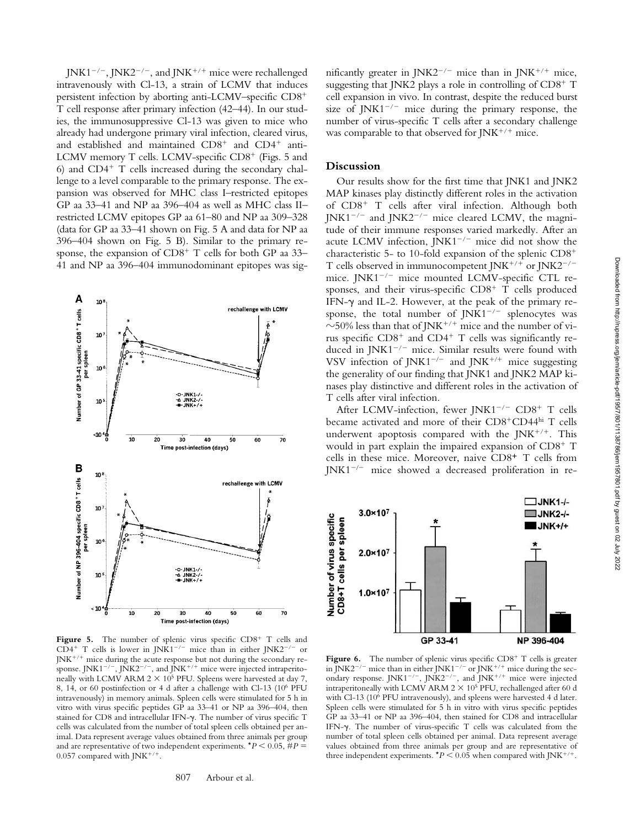JNK1<sup>-/-</sup>, JNK2<sup>-/-</sup>, and JNK<sup>+/+</sup> mice were rechallenged intravenously with Cl-13, a strain of LCMV that induces persistent infection by aborting anti-LCMV–specific CD8- T cell response after primary infection (42–44). In our studies, the immunosuppressive Cl-13 was given to mice who already had undergone primary viral infection, cleared virus, and established and maintained  $CD8^+$  and  $CD4^+$  anti-LCMV memory T cells. LCMV-specific CD8<sup>+</sup> (Figs. 5 and  $6$ ) and CD4<sup>+</sup> T cells increased during the secondary challenge to a level comparable to the primary response. The expansion was observed for MHC class I–restricted epitopes GP aa 33–41 and NP aa 396–404 as well as MHC class II– restricted LCMV epitopes GP aa 61–80 and NP aa 309–328 (data for GP aa 33–41 shown on Fig. 5 A and data for NP aa 396–404 shown on Fig. 5 B). Similar to the primary response, the expansion of CD8<sup>+</sup> T cells for both GP aa 33-41 and NP aa 396–404 immunodominant epitopes was sig-



Figure 5. The number of splenic virus specific CD8<sup>+</sup> T cells and CD4<sup>+</sup> T cells is lower in JNK1<sup>-/-</sup> mice than in either JNK2<sup>-/-</sup> or JNK<sup>+/+</sup> mice during the acute response but not during the secondary response. JNK1<sup>-/-</sup>, JNK2<sup>-/-</sup>, and JNK<sup>+/+</sup> mice were injected intraperitoneally with LCMV ARM  $2 \times 10^5$  PFU. Spleens were harvested at day 7, 8, 14, or 60 postinfection or 4 d after a challenge with Cl-13 (106 PFU intravenously) in memory animals. Spleen cells were stimulated for 5 h in vitro with virus specific peptides GP aa 33–41 or NP aa 396–404, then stained for CD8 and intracellular IFN- $\gamma$ . The number of virus specific T cells was calculated from the number of total spleen cells obtained per animal. Data represent average values obtained from three animals per group and are representative of two independent experiments.  $*P < 0.05$ ,  $\#P =$  $0.057$  compared with JNK<sup>+/+</sup>.

nificantly greater in JNK2<sup>-/-</sup> mice than in JNK<sup>+/+</sup> mice, suggesting that JNK2 plays a role in controlling of CD8<sup>+</sup> T cell expansion in vivo. In contrast, despite the reduced burst size of JNK1<sup>-/-</sup> mice during the primary response, the number of virus-specific T cells after a secondary challenge was comparable to that observed for JNK<sup>+/+</sup> mice.

## **Discussion**

Our results show for the first time that JNK1 and JNK2 MAP kinases play distinctly different roles in the activation of CD8<sup>+</sup> T cells after viral infection. Although both  $J/NK1^{-/-}$  and  $J/NK2^{-/-}$  mice cleared LCMV, the magnitude of their immune responses varied markedly. After an acute LCMV infection,  $JNK1^{-/-}$  mice did not show the characteristic 5- to 10-fold expansion of the splenic CD8- T cells observed in immunocompetent JNK<sup>+/+</sup> or JNK2<sup>-/-</sup> mice.  $JNK1^{-/-}$  mice mounted LCMV-specific CTL responses, and their virus-specific  $CD8<sup>+</sup>$  T cells produced IFN- $\gamma$  and IL-2. However, at the peak of the primary response, the total number of  $JN<sup>K1</sup>^{-/-}$  splenocytes was  $\sim$ 50% less than that of JNK<sup>+/+</sup> mice and the number of virus specific CD8<sup>+</sup> and CD4<sup>+</sup> T cells was significantly reduced in  $JNK1^{-/-}$  mice. Similar results were found with VSV infection of JNK1<sup>-/-</sup> and JNK<sup>+/+</sup> mice suggesting the generality of our finding that JNK1 and JNK2 MAP kinases play distinctive and different roles in the activation of T cells after viral infection.

After LCMV-infection, fewer JNK1<sup>-/-</sup> CD8<sup>+</sup> T cells became activated and more of their CD8<sup>+</sup>CD44hi T cells underwent apoptosis compared with the JNK $^{+/+}$ . This would in part explain the impaired expansion of CD8<sup>+</sup> T cells in these mice. Moreover, naive CD8<sup>+</sup> T cells from  $JNK1^{-/-}$  mice showed a decreased proliferation in re-



Figure 6. The number of splenic virus specific CD8<sup>+</sup> T cells is greater in JNK2<sup>-/-</sup> mice than in either JNK1<sup>-/-</sup> or JNK<sup>+/+</sup> mice during the secondary response. JNK1<sup>-/-</sup>, JNK2<sup>-/-</sup>, and JNK<sup>+/+</sup> mice were injected intraperitoneally with LCMV ARM  $2 \times 10^5$  PFU, rechallenged after 60 d with Cl-13 (106 PFU intravenously), and spleens were harvested 4 d later. Spleen cells were stimulated for 5 h in vitro with virus specific peptides GP aa 33–41 or NP aa 396–404, then stained for CD8 and intracellular IFN- $\gamma$ . The number of virus-specific T cells was calculated from the number of total spleen cells obtained per animal. Data represent average values obtained from three animals per group and are representative of three independent experiments.  $*P < 0.05$  when compared with JNK<sup>+/+</sup>.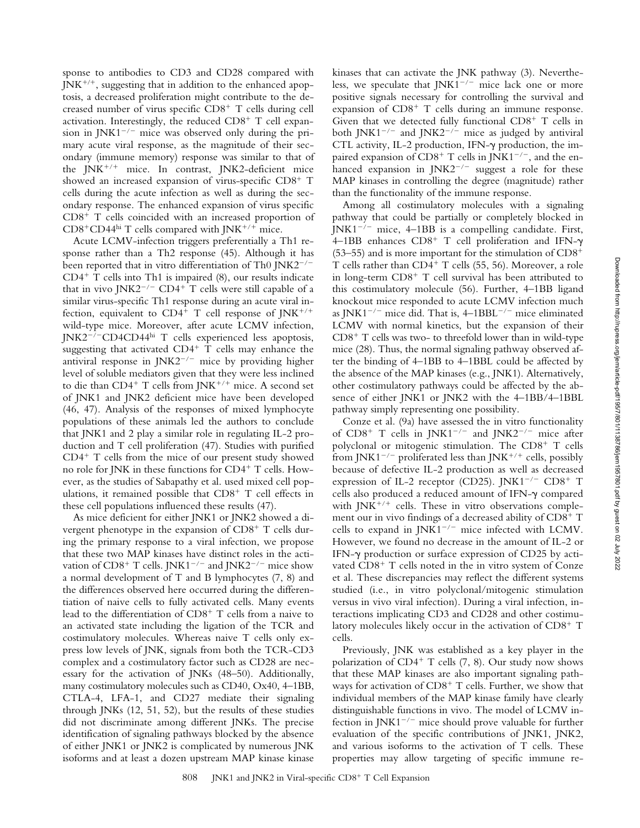sponse to antibodies to CD3 and CD28 compared with JNK<sup>+/+</sup>, suggesting that in addition to the enhanced apoptosis, a decreased proliferation might contribute to the decreased number of virus specific CD8<sup>+</sup> T cells during cell activation. Interestingly, the reduced CD8<sup>+</sup> T cell expansion in JNK1<sup> $-/-$ </sup> mice was observed only during the primary acute viral response, as the magnitude of their secondary (immune memory) response was similar to that of the JNK<sup>+/+</sup> mice. In contrast, JNK2-deficient mice showed an increased expansion of virus-specific CD8<sup>+</sup> T cells during the acute infection as well as during the secondary response. The enhanced expansion of virus specific CD8<sup>+</sup> T cells coincided with an increased proportion of CD8+CD44hi T cells compared with JNK+/+ mice.

Acute LCMV-infection triggers preferentially a Th1 response rather than a Th2 response (45). Although it has been reported that in vitro differentiation of Th0  $JNK2^{-/-}$ CD4- T cells into Th1 is impaired (8), our results indicate that in vivo JNK2<sup>-/-</sup> CD4<sup>+</sup> T cells were still capable of a similar virus-specific Th1 response during an acute viral infection, equivalent to  $CD4^+$  T cell response of JNK<sup>+/+</sup> wild-type mice. Moreover, after acute LCMV infection, JNK2<sup>-/-</sup>CD4CD44hi T cells experienced less apoptosis, suggesting that activated  $CD4^+$  T cells may enhance the antiviral response in  $JNK2^{-/-}$  mice by providing higher level of soluble mediators given that they were less inclined to die than  $CD4^+$  T cells from JNK $^{+/+}$  mice. A second set of JNK1 and JNK2 deficient mice have been developed (46, 47). Analysis of the responses of mixed lymphocyte populations of these animals led the authors to conclude that JNK1 and 2 play a similar role in regulating IL-2 production and T cell proliferation (47). Studies with purified CD4- T cells from the mice of our present study showed no role for JNK in these functions for CD4<sup>+</sup> T cells. However, as the studies of Sabapathy et al. used mixed cell populations, it remained possible that CD8<sup>+</sup> T cell effects in these cell populations influenced these results (47).

As mice deficient for either JNK1 or JNK2 showed a divergent phenotype in the expansion of  $CD8^+$  T cells during the primary response to a viral infection, we propose that these two MAP kinases have distinct roles in the activation of  $CD8^+$  T cells. JNK1<sup>-/-</sup> and JNK2<sup>-/-</sup> mice show a normal development of T and B lymphocytes (7, 8) and the differences observed here occurred during the differentiation of naive cells to fully activated cells. Many events lead to the differentiation of CD8<sup>+</sup> T cells from a naive to an activated state including the ligation of the TCR and costimulatory molecules. Whereas naive T cells only express low levels of JNK, signals from both the TCR-CD3 complex and a costimulatory factor such as CD28 are necessary for the activation of JNKs (48–50). Additionally, many costimulatory molecules such as CD40, Ox40, 4–1BB, CTLA-4, LFA-1, and CD27 mediate their signaling through JNKs (12, 51, 52), but the results of these studies did not discriminate among different JNKs. The precise identification of signaling pathways blocked by the absence of either JNK1 or JNK2 is complicated by numerous JNK isoforms and at least a dozen upstream MAP kinase kinase

kinases that can activate the JNK pathway (3). Nevertheless, we speculate that  $JNK1^{-/-}$  mice lack one or more positive signals necessary for controlling the survival and expansion of CD8<sup>+</sup> T cells during an immune response. Given that we detected fully functional  $CD8<sup>+</sup>$  T cells in both JNK1<sup>-/-</sup> and JNK2<sup>-/-</sup> mice as judged by antiviral CTL activity, IL-2 production, IFN- $\gamma$  production, the impaired expansion of  $CD8^+$  T cells in JNK1<sup>-/-</sup>, and the enhanced expansion in  $JNK2^{-/-}$  suggest a role for these MAP kinases in controlling the degree (magnitude) rather than the functionality of the immune response.

Among all costimulatory molecules with a signaling pathway that could be partially or completely blocked in  $J/NK1^{-/-}$  mice, 4–1BB is a compelling candidate. First,  $4-1BB$  enhances  $CD8<sup>+</sup>$  T cell proliferation and IFN- $\gamma$ (53–55) and is more important for the stimulation of  $CD8^+$ T cells rather than CD4<sup>+</sup> T cells (55, 56). Moreover, a role in long-term CD8<sup>+</sup> T cell survival has been attributed to this costimulatory molecule (56). Further, 4–1BB ligand knockout mice responded to acute LCMV infection much as  $INK1^{-/-}$  mice did. That is,  $4{\text -}1BBL^{-/-}$  mice eliminated LCMV with normal kinetics, but the expansion of their  $CD8<sup>+</sup>$  T cells was two- to threefold lower than in wild-type mice (28). Thus, the normal signaling pathway observed after the binding of 4–1BB to 4–1BBL could be affected by the absence of the MAP kinases (e.g., JNK1). Alternatively, other costimulatory pathways could be affected by the absence of either JNK1 or JNK2 with the 4–1BB/4–1BBL pathway simply representing one possibility.

Conze et al. (9a) have assessed the in vitro functionality of  $CD8^+$  T cells in JNK1<sup>-/-</sup> and JNK2<sup>-/-</sup> mice after polyclonal or mitogenic stimulation. The CD8<sup>+</sup> T cells from JNK1 $^{-/-}$  proliferated less than JNK $^{+/+}$  cells, possibly because of defective IL-2 production as well as decreased expression of IL-2 receptor (CD25). JNK1<sup>-/-</sup> CD8<sup>+</sup> T cells also produced a reduced amount of IFN- $\gamma$  compared with JNK<sup>+/+</sup> cells. These in vitro observations complement our in vivo findings of a decreased ability of CD8<sup>+</sup> T cells to expand in JNK1<sup>-/-</sup> mice infected with LCMV. However, we found no decrease in the amount of IL-2 or IFN- $\gamma$  production or surface expression of CD25 by activated CD8<sup>+</sup> T cells noted in the in vitro system of Conze et al. These discrepancies may reflect the different systems studied (i.e., in vitro polyclonal/mitogenic stimulation versus in vivo viral infection). During a viral infection, interactions implicating CD3 and CD28 and other costimulatory molecules likely occur in the activation of CD8<sup>+</sup> T cells.

Previously, JNK was established as a key player in the polarization of CD4<sup>+</sup> T cells (7, 8). Our study now shows that these MAP kinases are also important signaling pathways for activation of CD8<sup>+</sup> T cells. Further, we show that individual members of the MAP kinase family have clearly distinguishable functions in vivo. The model of LCMV infection in JNK1<sup>-/-</sup> mice should prove valuable for further evaluation of the specific contributions of JNK1, JNK2, and various isoforms to the activation of T cells. These properties may allow targeting of specific immune re-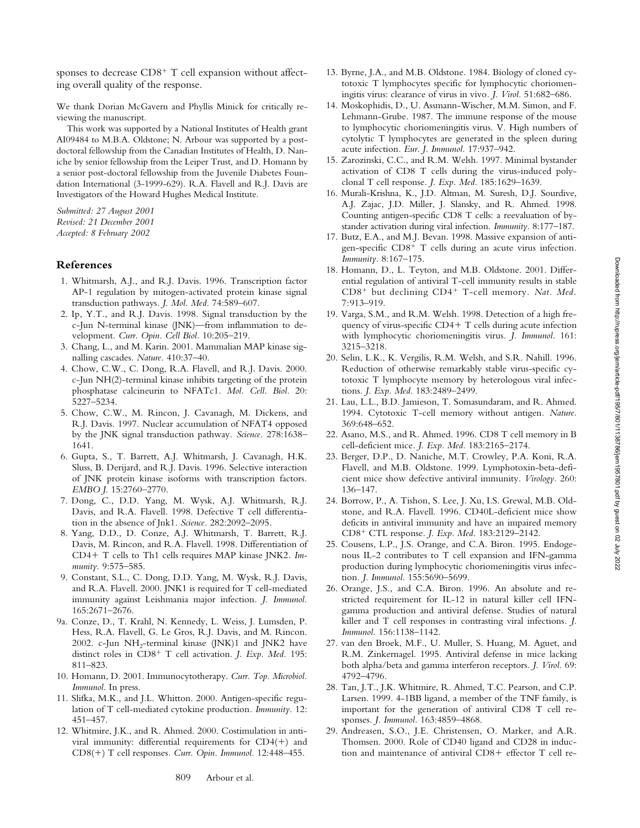sponses to decrease CD8<sup>+</sup> T cell expansion without affecting overall quality of the response.

We thank Dorian McGavern and Phyllis Minick for critically reviewing the manuscript.

This work was supported by a National Institutes of Health grant AI09484 to M.B.A. Oldstone; N. Arbour was supported by a postdoctoral fellowship from the Canadian Institutes of Health, D. Naniche by senior fellowship from the Leiper Trust, and D. Homann by a senior post-doctoral fellowship from the Juvenile Diabetes Foundation International (3-1999-629). R.A. Flavell and R.J. Davis are Investigators of the Howard Hughes Medical Institute.

*Submitted: 27 August 2001 Revised: 21 December 2001 Accepted: 8 February 2002*

## **References**

- 1. Whitmarsh, A.J., and R.J. Davis. 1996. Transcription factor AP-1 regulation by mitogen-activated protein kinase signal transduction pathways*. J. Mol. Med.* 74:589–607.
- 2. Ip, Y.T., and R.J. Davis. 1998. Signal transduction by the c-Jun N-terminal kinase (JNK)—from inflammation to development*. Curr. Opin. Cell Biol.* 10:205–219.
- 3. Chang, L., and M. Karin. 2001. Mammalian MAP kinase signalling cascades*. Nature.* 410:37–40.
- 4. Chow, C.W., C. Dong, R.A. Flavell, and R.J. Davis. 2000. c-Jun NH(2)-terminal kinase inhibits targeting of the protein phosphatase calcineurin to NFATc1*. Mol. Cell. Biol.* 20: 5227–5234.
- 5. Chow, C.W., M. Rincon, J. Cavanagh, M. Dickens, and R.J. Davis. 1997. Nuclear accumulation of NFAT4 opposed by the JNK signal transduction pathway*. Science.* 278:1638– 1641.
- 6. Gupta, S., T. Barrett, A.J. Whitmarsh, J. Cavanagh, H.K. Sluss, B. Derijard, and R.J. Davis. 1996. Selective interaction of JNK protein kinase isoforms with transcription factors*. EMBO J.* 15:2760–2770.
- 7. Dong, C., D.D. Yang, M. Wysk, A.J. Whitmarsh, R.J. Davis, and R.A. Flavell. 1998. Defective T cell differentiation in the absence of Jnk1*. Science.* 282:2092–2095.
- 8. Yang, D.D., D. Conze, A.J. Whitmarsh, T. Barrett, R.J. Davis, M. Rincon, and R.A. Flavell. 1998. Differentiation of CD4+ T cells to Th1 cells requires MAP kinase JNK2. Im*munity.* 9:575–585.
- 9. Constant, S.L., C. Dong, D.D. Yang, M. Wysk, R.J. Davis, and R.A. Flavell. 2000. JNK1 is required for T cell-mediated immunity against Leishmania major infection*. J. Immunol.* 165:2671–2676.
- 9a. Conze, D., T. Krahl, N. Kennedy, L. Weiss, J. Lumsden, P. Hess, R.A. Flavell, G. Le Gros, R.J. Davis, and M. Rincon. 2002. c-Jun  $NH_2$ -terminal kinase (JNK)1 and JNK2 have distinct roles in CD8<sup>+</sup> T cell activation. *J. Exp. Med.* 195: 811–823.
- 10. Homann, D. 2001. Immunocytotherapy. *Curr. Top. Microbiol. Immunol.* In press.
- 11. Slifka, M.K., and J.L. Whitton. 2000. Antigen-specific regulation of T cell-mediated cytokine production*. Immunity.* 12: 451–457.
- 12. Whitmire, J.K., and R. Ahmed. 2000. Costimulation in antiviral immunity: differential requirements for  $CD4(+)$  and CD8(-) T cell responses*. Curr. Opin. Immunol.* 12:448–455.
- 13. Byrne, J.A., and M.B. Oldstone. 1984. Biology of cloned cytotoxic T lymphocytes specific for lymphocytic choriomeningitis virus: clearance of virus in vivo*. J. Virol.* 51:682–686.
- 14. Moskophidis, D., U. Assmann-Wischer, M.M. Simon, and F. Lehmann-Grube. 1987. The immune response of the mouse to lymphocytic choriomeningitis virus. V. High numbers of cytolytic T lymphocytes are generated in the spleen during acute infection*. Eur. J. Immunol.* 17:937–942.
- 15. Zarozinski, C.C., and R.M. Welsh. 1997. Minimal bystander activation of CD8 T cells during the virus-induced polyclonal T cell response*. J. Exp. Med.* 185:1629–1639.
- 16. Murali-Krishna, K., J.D. Altman, M. Suresh, D.J. Sourdive, A.J. Zajac, J.D. Miller, J. Slansky, and R. Ahmed. 1998. Counting antigen-specific CD8 T cells: a reevaluation of bystander activation during viral infection*. Immunity.* 8:177–187.
- 17. Butz, E.A., and M.J. Bevan. 1998. Massive expansion of antigen-specific CD8- T cells during an acute virus infection*. Immunity.* 8:167–175.
- 18. Homann, D., L. Teyton, and M.B. Oldstone. 2001. Differential regulation of antiviral T-cell immunity results in stable CD8- but declining CD4- T-cell memory*. Nat. Med.* 7:913–919.
- 19. Varga, S.M., and R.M. Welsh. 1998. Detection of a high frequency of virus-specific CD4+ T cells during acute infection with lymphocytic choriomeningitis virus*. J. Immunol.* 161: 3215–3218.
- 20. Selin, L.K., K. Vergilis, R.M. Welsh, and S.R. Nahill. 1996. Reduction of otherwise remarkably stable virus-specific cytotoxic T lymphocyte memory by heterologous viral infections*. J. Exp. Med.* 183:2489–2499.
- 21. Lau, L.L., B.D. Jamieson, T. Somasundaram, and R. Ahmed. 1994. Cytotoxic T-cell memory without antigen*. Nature.* 369:648–652.
- 22. Asano, M.S., and R. Ahmed. 1996. CD8 T cell memory in B cell-deficient mice*. J. Exp. Med.* 183:2165–2174.
- 23. Berger, D.P., D. Naniche, M.T. Crowley, P.A. Koni, R.A. Flavell, and M.B. Oldstone. 1999. Lymphotoxin-beta-deficient mice show defective antiviral immunity*. Virology.* 260: 136–147.
- 24. Borrow, P., A. Tishon, S. Lee, J. Xu, I.S. Grewal, M.B. Oldstone, and R.A. Flavell. 1996. CD40L-deficient mice show deficits in antiviral immunity and have an impaired memory CD8- CTL response*. J. Exp. Med.* 183:2129–2142.
- 25. Cousens, L.P., J.S. Orange, and C.A. Biron. 1995. Endogenous IL-2 contributes to T cell expansion and IFN-gamma production during lymphocytic choriomeningitis virus infection*. J. Immunol.* 155:5690–5699.
- 26. Orange, J.S., and C.A. Biron. 1996. An absolute and restricted requirement for IL-12 in natural killer cell IFNgamma production and antiviral defense. Studies of natural killer and T cell responses in contrasting viral infections*. J. Immunol.* 156:1138–1142.
- 27. van den Broek, M.F., U. Muller, S. Huang, M. Aguet, and R.M. Zinkernagel. 1995. Antiviral defense in mice lacking both alpha/beta and gamma interferon receptors*. J. Virol.* 69: 4792–4796.
- 28. Tan, J.T., J.K. Whitmire, R. Ahmed, T.C. Pearson, and C.P. Larsen. 1999. 4-1BB ligand, a member of the TNF family, is important for the generation of antiviral CD8 T cell responses*. J. Immunol.* 163:4859–4868.
- 29. Andreasen, S.O., J.E. Christensen, O. Marker, and A.R. Thomsen. 2000. Role of CD40 ligand and CD28 in induction and maintenance of antiviral CD8- effector T cell re-